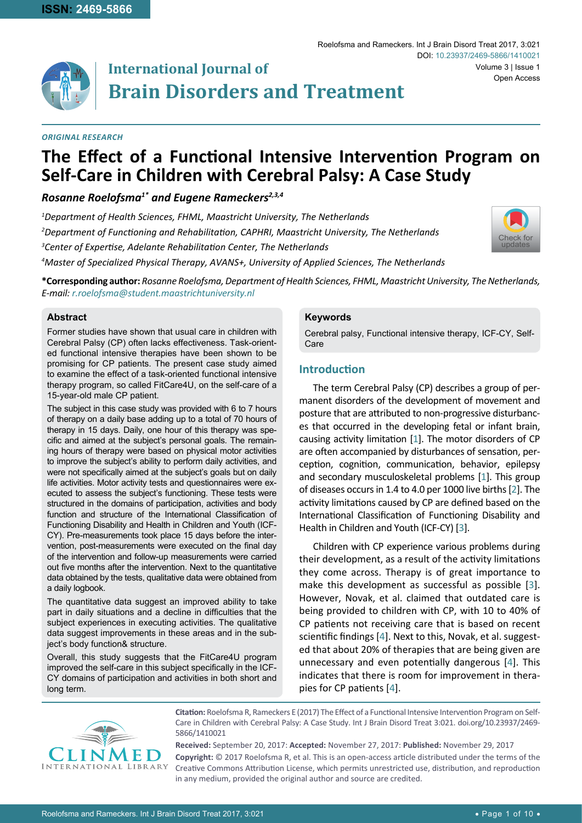Roelofsma and Rameckers. Int J Brain Disord Treat 2017, 3:021 Volume 3 | Issue 1 DOI: [10.23937/2469-5866/1410021](https://doi.org/10.23937/2469-5866/1410021) Open Access



# **International Journal of Brain Disorders and Treatment**

### *Original Research*

# **The Effect of a Functional Intensive Intervention Program on Self-Care in Children with Cerebral Palsy: A Case Study**

# *Rosanne Roelofsma1\* and Eugene Rameckers2,3,4*

 *Department of Health Sciences, FHML, Maastricht University, The Netherlands Department of Functioning and Rehabilitation, CAPHRI, Maastricht University, The Netherlands Center of Expertise, Adelante Rehabilitation Center, The Netherlands Master of Specialized Physical Therapy, AVANS+, University of Applied Sciences, The Netherlands*



**\*Corresponding author:** *Rosanne Roelofsma, Department of Health Sciences, FHML, Maastricht University, The Netherlands, E-mail: r.roelofsma@student.maastrichtuniversity.nl*

## **Abstract**

Former studies have shown that usual care in children with Cerebral Palsy (CP) often lacks effectiveness. Task-oriented functional intensive therapies have been shown to be promising for CP patients. The present case study aimed to examine the effect of a task-oriented functional intensive therapy program, so called FitCare4U, on the self-care of a 15-year-old male CP patient.

The subject in this case study was provided with 6 to 7 hours of therapy on a daily base adding up to a total of 70 hours of therapy in 15 days. Daily, one hour of this therapy was specific and aimed at the subject's personal goals. The remaining hours of therapy were based on physical motor activities to improve the subject's ability to perform daily activities, and were not specifically aimed at the subject's goals but on daily life activities. Motor activity tests and questionnaires were executed to assess the subject's functioning. These tests were structured in the domains of participation, activities and body function and structure of the International Classification of Functioning Disability and Health in Children and Youth (ICF-CY). Pre-measurements took place 15 days before the intervention, post-measurements were executed on the final day of the intervention and follow-up measurements were carried out five months after the intervention. Next to the quantitative data obtained by the tests, qualitative data were obtained from a daily logbook.

The quantitative data suggest an improved ability to take part in daily situations and a decline in difficulties that the subject experiences in executing activities. The qualitative data suggest improvements in these areas and in the subject's body function& structure.

Overall, this study suggests that the FitCare4U program improved the self-care in this subject specifically in the ICF-CY domains of participation and activities in both short and long term.

# **Keywords**

Cerebral palsy, Functional intensive therapy, ICF-CY, Self-Care

# **Introduction**

The term Cerebral Palsy (CP) describes a group of permanent disorders of the development of movement and posture that are attributed to non-progressive disturbances that occurred in the developing fetal or infant brain, causing activity limitation [[1](#page-8-0)]. The motor disorders of CP are often accompanied by disturbances of sensation, perception, cognition, communication, behavior, epilepsy and secondary musculoskeletal problems [[1](#page-8-0)]. This group of diseases occurs in 1.4 to 4.0 per 1000 live births [[2](#page-8-1)]. The activity limitations caused by CP are defined based on the International Classification of Functioning Disability and Health in Children and Youth (ICF-CY) [\[3\]](#page-8-2).

Children with CP experience various problems during their development, as a result of the activity limitations they come across. Therapy is of great importance to make this development as successful as possible [\[3\]](#page-8-2). However, Novak, et al. claimed that outdated care is being provided to children with CP, with 10 to 40% of CP patients not receiving care that is based on recent scientific findings [\[4\]](#page-8-3). Next to this, Novak, et al. suggested that about 20% of therapies that are being given are unnecessary and even potentially dangerous [\[4\]](#page-8-3). This indicates that there is room for improvement in therapies for CP patients [\[4](#page-8-3)].



**Citation:** Roelofsma R, Rameckers E (2017) The Effect of a Functional Intensive Intervention Program on Self-Care in Children with Cerebral Palsy: A Case Study. Int J Brain Disord Treat 3:021. [doi.org/10.23937/2469-](https://doi.org/10.23937/2469-5866/1410021) [5866/1410021](https://doi.org/10.23937/2469-5866/1410021)

**Received:** September 20, 2017: **Accepted:** November 27, 2017: **Published:** November 29, 2017 **Copyright:** © 2017 Roelofsma R, et al. This is an open-access article distributed under the terms of the Creative Commons Attribution License, which permits unrestricted use, distribution, and reproduction in any medium, provided the original author and source are credited.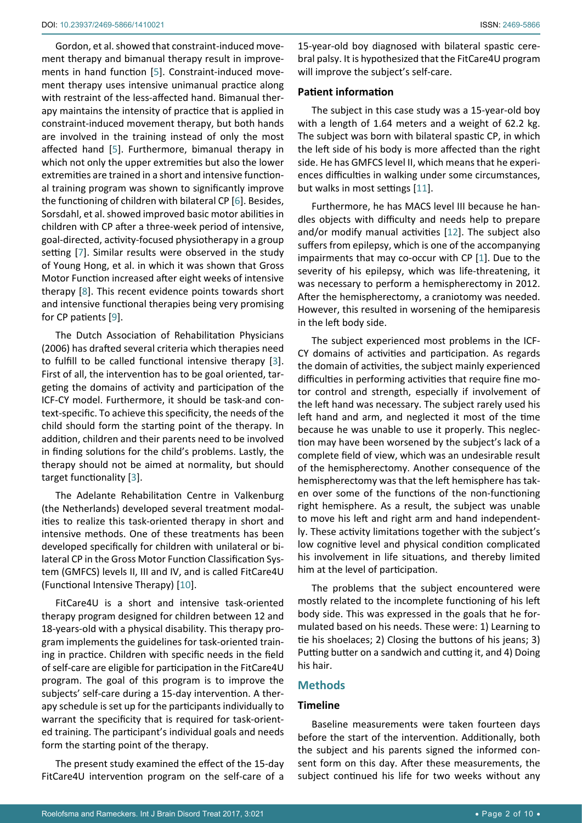Gordon, et al. showed that constraint-induced movement therapy and bimanual therapy result in improvements in hand function [[5](#page-8-4)]. Constraint-induced movement therapy uses intensive unimanual practice along with restraint of the less-affected hand. Bimanual therapy maintains the intensity of practice that is applied in constraint-induced movement therapy, but both hands are involved in the training instead of only the most affected hand [[5](#page-8-4)]. Furthermore, bimanual therapy in which not only the upper extremities but also the lower extremities are trained in a short and intensive functional training program was shown to significantly improve the functioning of children with bilateral CP [\[6\]](#page-8-5). Besides, Sorsdahl, et al. showed improved basic motor abilities in children with CP after a three-week period of intensive, goal-directed, activity-focused physiotherapy in a group setting [[7](#page-8-6)]. Similar results were observed in the study of Young Hong, et al. in which it was shown that Gross Motor Function increased after eight weeks of intensive therapy [[8](#page-8-7)]. This recent evidence points towards short and intensive functional therapies being very promising for CP patients [\[9\]](#page-8-8).

The Dutch Association of Rehabilitation Physicians (2006) has drafted several criteria which therapies need to fulfill to be called functional intensive therapy [[3](#page-8-2)]. First of all, the intervention has to be goal oriented, targeting the domains of activity and participation of the ICF-CY model. Furthermore, it should be task-and context-specific. To achieve this specificity, the needs of the child should form the starting point of the therapy. In addition, children and their parents need to be involved in finding solutions for the child's problems. Lastly, the therapy should not be aimed at normality, but should target functionality [\[3\]](#page-8-2).

The Adelante Rehabilitation Centre in Valkenburg (the Netherlands) developed several treatment modalities to realize this task-oriented therapy in short and intensive methods. One of these treatments has been developed specifically for children with unilateral or bilateral CP in the Gross Motor Function Classification System (GMFCS) levels II, III and IV, and is called FitCare4U (Functional Intensive Therapy) [[10](#page-8-9)].

FitCare4U is a short and intensive task-oriented therapy program designed for children between 12 and 18-years-old with a physical disability. This therapy program implements the guidelines for task-oriented training in practice. Children with specific needs in the field of self-care are eligible for participation in the FitCare4U program. The goal of this program is to improve the subjects' self-care during a 15-day intervention. A therapy schedule is set up for the participants individually to warrant the specificity that is required for task-oriented training. The participant's individual goals and needs form the starting point of the therapy.

The present study examined the effect of the 15-day FitCare4U intervention program on the self-care of a

15-year-old boy diagnosed with bilateral spastic cerebral palsy. It is hypothesized that the FitCare4U program will improve the subject's self-care.

## **Patient information**

The subject in this case study was a 15-year-old boy with a length of 1.64 meters and a weight of 62.2 kg. The subject was born with bilateral spastic CP, in which the left side of his body is more affected than the right side. He has GMFCS level II, which means that he experiences difficulties in walking under some circumstances, but walks in most settings [[11](#page-8-10)].

Furthermore, he has MACS level III because he handles objects with difficulty and needs help to prepare and/or modify manual activities [[12](#page-8-11)]. The subject also suffers from epilepsy, which is one of the accompanying impairments that may co-occur with CP [[1](#page-8-0)]. Due to the severity of his epilepsy, which was life-threatening, it was necessary to perform a hemispherectomy in 2012. After the hemispherectomy, a craniotomy was needed. However, this resulted in worsening of the hemiparesis in the left body side.

The subject experienced most problems in the ICF-CY domains of activities and participation. As regards the domain of activities, the subject mainly experienced difficulties in performing activities that require fine motor control and strength, especially if involvement of the left hand was necessary. The subject rarely used his left hand and arm, and neglected it most of the time because he was unable to use it properly. This neglection may have been worsened by the subject's lack of a complete field of view, which was an undesirable result of the hemispherectomy. Another consequence of the hemispherectomy was that the left hemisphere has taken over some of the functions of the non-functioning right hemisphere. As a result, the subject was unable to move his left and right arm and hand independently. These activity limitations together with the subject's low cognitive level and physical condition complicated his involvement in life situations, and thereby limited him at the level of participation.

The problems that the subject encountered were mostly related to the incomplete functioning of his left body side. This was expressed in the goals that he formulated based on his needs. These were: 1) Learning to tie his shoelaces; 2) Closing the buttons of his jeans; 3) Putting butter on a sandwich and cutting it, and 4) Doing his hair.

#### **Methods**

## **Timeline**

Baseline measurements were taken fourteen days before the start of the intervention. Additionally, both the subject and his parents signed the informed consent form on this day. After these measurements, the subject continued his life for two weeks without any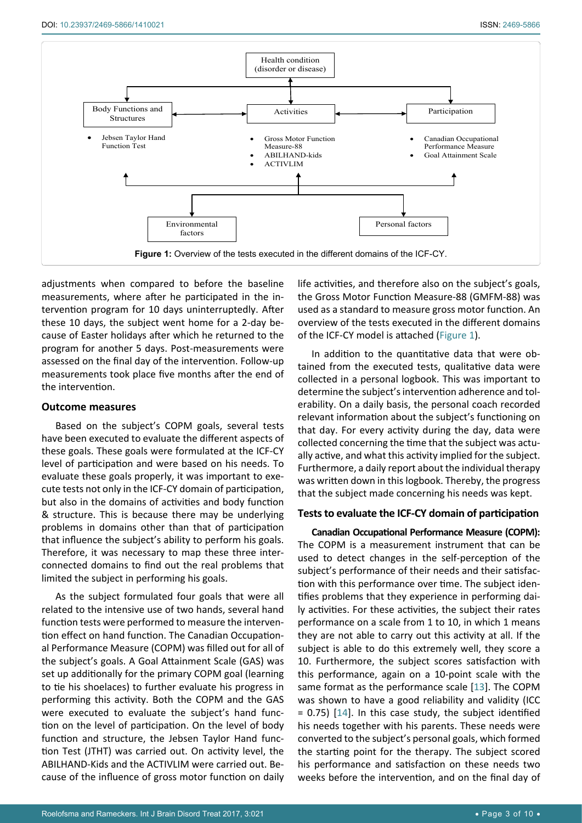<span id="page-2-0"></span>

adjustments when compared to before the baseline measurements, where after he participated in the intervention program for 10 days uninterruptedly. After these 10 days, the subject went home for a 2-day because of Easter holidays after which he returned to the program for another 5 days. Post-measurements were assessed on the final day of the intervention. Follow-up measurements took place five months after the end of the intervention.

#### **Outcome measures**

Based on the subject's COPM goals, several tests have been executed to evaluate the different aspects of these goals. These goals were formulated at the ICF-CY level of participation and were based on his needs. To evaluate these goals properly, it was important to execute tests not only in the ICF-CY domain of participation, but also in the domains of activities and body function & structure. This is because there may be underlying problems in domains other than that of participation that influence the subject's ability to perform his goals. Therefore, it was necessary to map these three interconnected domains to find out the real problems that limited the subject in performing his goals.

As the subject formulated four goals that were all related to the intensive use of two hands, several hand function tests were performed to measure the intervention effect on hand function. The Canadian Occupational Performance Measure (COPM) was filled out for all of the subject's goals. A Goal Attainment Scale (GAS) was set up additionally for the primary COPM goal (learning to tie his shoelaces) to further evaluate his progress in performing this activity. Both the COPM and the GAS were executed to evaluate the subject's hand function on the level of participation. On the level of body function and structure, the Jebsen Taylor Hand function Test (JTHT) was carried out. On activity level, the ABILHAND-Kids and the ACTIVLIM were carried out. Because of the influence of gross motor function on daily

life activities, and therefore also on the subject's goals, the Gross Motor Function Measure-88 (GMFM-88) was used as a standard to measure gross motor function. An overview of the tests executed in the different domains of the ICF-CY model is attached ([Figure 1\)](#page-2-0).

In addition to the quantitative data that were obtained from the executed tests, qualitative data were collected in a personal logbook. This was important to determine the subject's intervention adherence and tolerability. On a daily basis, the personal coach recorded relevant information about the subject's functioning on that day. For every activity during the day, data were collected concerning the time that the subject was actually active, and what this activity implied for the subject. Furthermore, a daily report about the individual therapy was written down in this logbook. Thereby, the progress that the subject made concerning his needs was kept.

### **Tests to evaluate the ICF-CY domain of participation**

**Canadian Occupational Performance Measure (COPM):**  The COPM is a measurement instrument that can be used to detect changes in the self-perception of the subject's performance of their needs and their satisfaction with this performance over time. The subject identifies problems that they experience in performing daily activities. For these activities, the subject their rates performance on a scale from 1 to 10, in which 1 means they are not able to carry out this activity at all. If the subject is able to do this extremely well, they score a 10. Furthermore, the subject scores satisfaction with this performance, again on a 10-point scale with the same format as the performance scale [[13\]](#page-8-12). The COPM was shown to have a good reliability and validity (ICC  $= 0.75$ ) [[14\]](#page-8-13). In this case study, the subject identified his needs together with his parents. These needs were converted to the subject's personal goals, which formed the starting point for the therapy. The subject scored his performance and satisfaction on these needs two weeks before the intervention, and on the final day of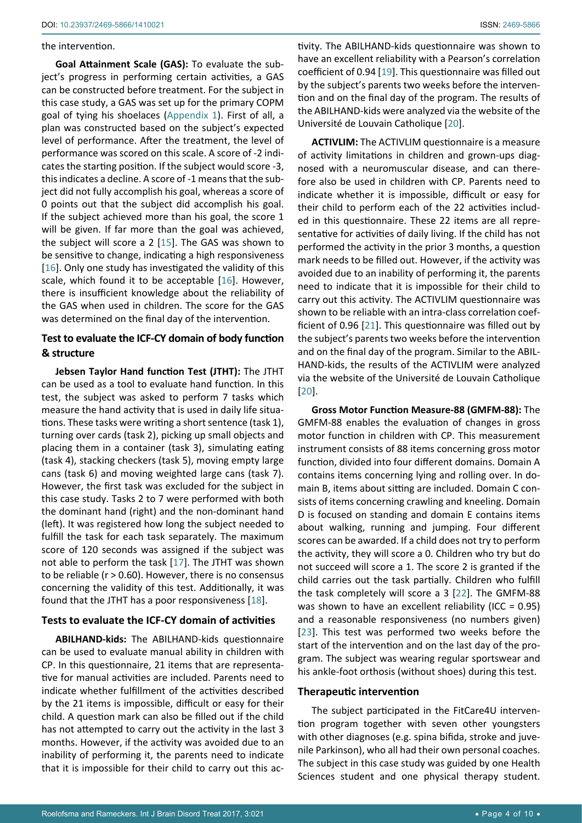#### the intervention.

**Goal Attainment Scale (GAS):** To evaluate the subject's progress in performing certain activities, a GAS can be constructed before treatment. For the subject in this case study, a GAS was set up for the primary COPM goal of tying his shoelaces ([Appendix 1\)](#page-9-0). First of all, a plan was constructed based on the subject's expected level of performance. After the treatment, the level of performance was scored on this scale. A score of -2 indicates the starting position. If the subject would score -3, this indicates a decline. A score of -1 means that the subject did not fully accomplish his goal, whereas a score of 0 points out that the subject did accomplish his goal. If the subject achieved more than his goal, the score 1 will be given. If far more than the goal was achieved, the subject will score a 2 [[15](#page-8-19)]. The GAS was shown to be sensitive to change, indicating a high responsiveness [[16](#page-8-20)]. Only one study has investigated the validity of this scale, which found it to be acceptable [\[16\]](#page-8-20). However, there is insufficient knowledge about the reliability of the GAS when used in children. The score for the GAS was determined on the final day of the intervention.

# **Test to evaluate the ICF-CY domain of body function & structure**

**Jebsen Taylor Hand function Test (JTHT):** The JTHT can be used as a tool to evaluate hand function. In this test, the subject was asked to perform 7 tasks which measure the hand activity that is used in daily life situations. These tasks were writing a short sentence (task 1), turning over cards (task 2), picking up small objects and placing them in a container (task 3), simulating eating (task 4), stacking checkers (task 5), moving empty large cans (task 6) and moving weighted large cans (task 7). However, the first task was excluded for the subject in this case study. Tasks 2 to 7 were performed with both the dominant hand (right) and the non-dominant hand (left). It was registered how long the subject needed to fulfill the task for each task separately. The maximum score of 120 seconds was assigned if the subject was not able to perform the task [[17](#page-8-21)]. The JTHT was shown to be reliable (r > 0.60). However, there is no consensus concerning the validity of this test. Additionally, it was found that the JTHT has a poor responsiveness [[18](#page-8-22)].

## **Tests to evaluate the ICF-CY domain of activities**

**ABILHAND-kids:** The ABILHAND-kids questionnaire can be used to evaluate manual ability in children with CP. In this questionnaire, 21 items that are representative for manual activities are included. Parents need to indicate whether fulfillment of the activities described by the 21 items is impossible, difficult or easy for their child. A question mark can also be filled out if the child has not attempted to carry out the activity in the last 3 months. However, if the activity was avoided due to an inability of performing it, the parents need to indicate that it is impossible for their child to carry out this activity. The ABILHAND-kids questionnaire was shown to have an excellent reliability with a Pearson's correlation coefficient of 0.94 [\[19](#page-8-14)]. This questionnaire was filled out by the subject's parents two weeks before the intervention and on the final day of the program. The results of the ABILHAND-kids were analyzed via the website of the Université de Louvain Catholique [[20](#page-8-15)].

**ACTIVLIM:** The ACTIVLIM questionnaire is a measure of activity limitations in children and grown-ups diagnosed with a neuromuscular disease, and can therefore also be used in children with CP. Parents need to indicate whether it is impossible, difficult or easy for their child to perform each of the 22 activities included in this questionnaire. These 22 items are all representative for activities of daily living. If the child has not performed the activity in the prior 3 months, a question mark needs to be filled out. However, if the activity was avoided due to an inability of performing it, the parents need to indicate that it is impossible for their child to carry out this activity. The ACTIVLIM questionnaire was shown to be reliable with an intra-class correlation coefficient of 0.96 [[21](#page-8-16)]. This questionnaire was filled out by the subject's parents two weeks before the intervention and on the final day of the program. Similar to the ABIL-HAND-kids, the results of the ACTIVLIM were analyzed via the website of the Université de Louvain Catholique [[20](#page-8-15)].

**Gross Motor Function Measure-88 (GMFM-88):** The GMFM-88 enables the evaluation of changes in gross motor function in children with CP. This measurement instrument consists of 88 items concerning gross motor function, divided into four different domains. Domain A contains items concerning lying and rolling over. In domain B, items about sitting are included. Domain C consists of items concerning crawling and kneeling. Domain D is focused on standing and domain E contains items about walking, running and jumping. Four different scores can be awarded. If a child does not try to perform the activity, they will score a 0. Children who try but do not succeed will score a 1. The score 2 is granted if the child carries out the task partially. Children who fulfill the task completely will score a 3 [[22](#page-8-17)]. The GMFM-88 was shown to have an excellent reliability (ICC = 0.95) and a reasonable responsiveness (no numbers given) [\[23](#page-8-18)]. This test was performed two weeks before the start of the intervention and on the last day of the program. The subject was wearing regular sportswear and his ankle-foot orthosis (without shoes) during this test.

## **Therapeutic intervention**

The subject participated in the FitCare4U intervention program together with seven other youngsters with other diagnoses (e.g. spina bifida, stroke and juvenile Parkinson), who all had their own personal coaches. The subject in this case study was guided by one Health Sciences student and one physical therapy student.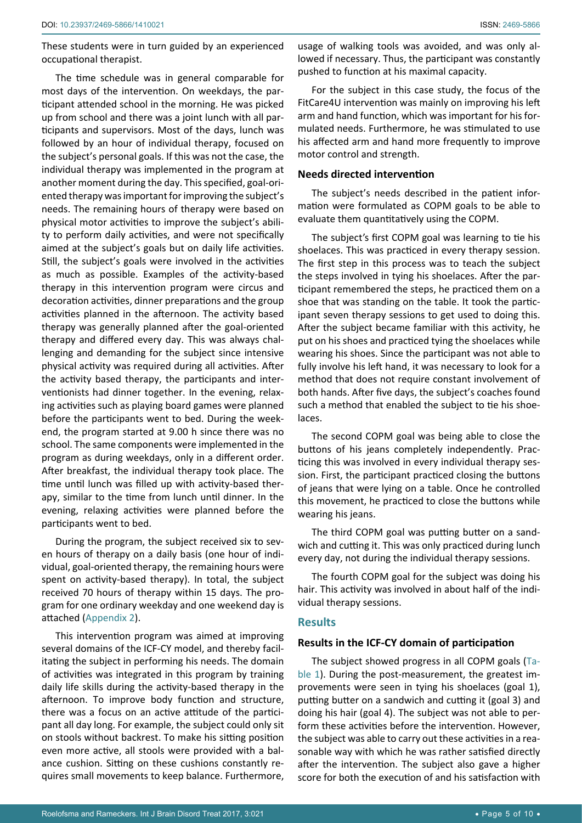These students were in turn guided by an experienced occupational therapist.

The time schedule was in general comparable for most days of the intervention. On weekdays, the participant attended school in the morning. He was picked up from school and there was a joint lunch with all participants and supervisors. Most of the days, lunch was followed by an hour of individual therapy, focused on the subject's personal goals. If this was not the case, the individual therapy was implemented in the program at another moment during the day. This specified, goal-oriented therapy was important for improving the subject's needs. The remaining hours of therapy were based on physical motor activities to improve the subject's ability to perform daily activities, and were not specifically aimed at the subject's goals but on daily life activities. Still, the subject's goals were involved in the activities as much as possible. Examples of the activity-based therapy in this intervention program were circus and decoration activities, dinner preparations and the group activities planned in the afternoon. The activity based therapy was generally planned after the goal-oriented therapy and differed every day. This was always challenging and demanding for the subject since intensive physical activity was required during all activities. After the activity based therapy, the participants and interventionists had dinner together. In the evening, relaxing activities such as playing board games were planned before the participants went to bed. During the weekend, the program started at 9.00 h since there was no school. The same components were implemented in the program as during weekdays, only in a different order. After breakfast, the individual therapy took place. The time until lunch was filled up with activity-based therapy, similar to the time from lunch until dinner. In the evening, relaxing activities were planned before the participants went to bed.

During the program, the subject received six to seven hours of therapy on a daily basis (one hour of individual, goal-oriented therapy, the remaining hours were spent on activity-based therapy). In total, the subject received 70 hours of therapy within 15 days. The program for one ordinary weekday and one weekend day is attached ([Appendix 2\)](#page-9-1).

This intervention program was aimed at improving several domains of the ICF-CY model, and thereby facilitating the subject in performing his needs. The domain of activities was integrated in this program by training daily life skills during the activity-based therapy in the afternoon. To improve body function and structure, there was a focus on an active attitude of the participant all day long. For example, the subject could only sit on stools without backrest. To make his sitting position even more active, all stools were provided with a balance cushion. Sitting on these cushions constantly requires small movements to keep balance. Furthermore,

usage of walking tools was avoided, and was only allowed if necessary. Thus, the participant was constantly pushed to function at his maximal capacity.

For the subject in this case study, the focus of the FitCare4U intervention was mainly on improving his left arm and hand function, which was important for his formulated needs. Furthermore, he was stimulated to use his affected arm and hand more frequently to improve motor control and strength.

#### **Needs directed intervention**

The subject's needs described in the patient information were formulated as COPM goals to be able to evaluate them quantitatively using the COPM.

The subject's first COPM goal was learning to tie his shoelaces. This was practiced in every therapy session. The first step in this process was to teach the subject the steps involved in tying his shoelaces. After the participant remembered the steps, he practiced them on a shoe that was standing on the table. It took the participant seven therapy sessions to get used to doing this. After the subject became familiar with this activity, he put on his shoes and practiced tying the shoelaces while wearing his shoes. Since the participant was not able to fully involve his left hand, it was necessary to look for a method that does not require constant involvement of both hands. After five days, the subject's coaches found such a method that enabled the subject to tie his shoelaces.

The second COPM goal was being able to close the buttons of his jeans completely independently. Practicing this was involved in every individual therapy session. First, the participant practiced closing the buttons of jeans that were lying on a table. Once he controlled this movement, he practiced to close the buttons while wearing his jeans.

The third COPM goal was putting butter on a sandwich and cutting it. This was only practiced during lunch every day, not during the individual therapy sessions.

The fourth COPM goal for the subject was doing his hair. This activity was involved in about half of the individual therapy sessions.

#### **Results**

#### **Results in the ICF-CY domain of participation**

The subject showed progress in all COPM goals ([Ta](#page-5-0)[ble 1](#page-5-0)). During the post-measurement, the greatest improvements were seen in tying his shoelaces (goal 1), putting butter on a sandwich and cutting it (goal 3) and doing his hair (goal 4). The subject was not able to perform these activities before the intervention. However, the subject was able to carry out these activities in a reasonable way with which he was rather satisfied directly after the intervention. The subject also gave a higher score for both the execution of and his satisfaction with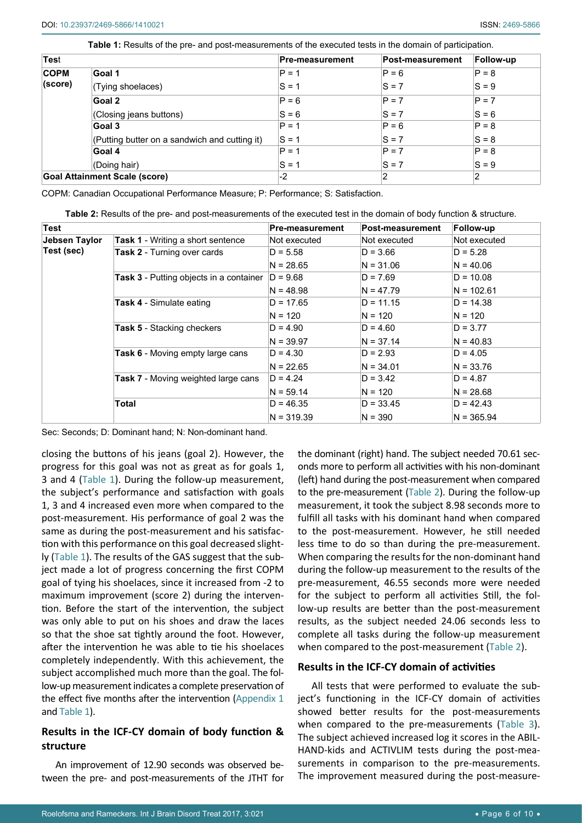<span id="page-5-0"></span>**Table 1:** Results of the pre- and post-measurements of the executed tests in the domain of participation.

| <b>Test</b>                          |                                               | <b>Pre-measurement</b> | <b>Post-measurement</b> | Follow-up |
|--------------------------------------|-----------------------------------------------|------------------------|-------------------------|-----------|
| <b>COPM</b>                          | Goal 1                                        | $P = 1$                | $P = 6$                 | $P = 8$   |
| (score)                              | (Tying shoelaces)                             | $S = 1$                | $S = 7$                 | $S = 9$   |
|                                      | Goal 2                                        | $P = 6$                | $P = 7$                 | $P = 7$   |
|                                      | (Closing jeans buttons)                       | $S = 6$                | $S = 7$                 | $S = 6$   |
|                                      | Goal 3                                        | $P = 1$                | $P = 6$                 | $P = 8$   |
|                                      | (Putting butter on a sandwich and cutting it) | $S = 1$                | $S = 7$                 | $S = 8$   |
|                                      | Goal 4                                        | $P = 1$                | $P = 7$                 | $P = 8$   |
|                                      | (Doing hair)                                  | $S = 1$                | $S = 7$                 | $S = 9$   |
| <b>Goal Attainment Scale (score)</b> |                                               | $-2$                   | 2                       | 2         |

COPM: Canadian Occupational Performance Measure; P: Performance; S: Satisfaction.

<span id="page-5-1"></span>**Table 2:** Results of the pre- and post-measurements of the executed test in the domain of body function & structure.

| Test          |                                                | <b>Pre-measurement</b> | Post-measurement | Follow-up    |
|---------------|------------------------------------------------|------------------------|------------------|--------------|
| Jebsen Taylor | <b>Task 1</b> - Writing a short sentence       | Not executed           | Not executed     | Not executed |
| Test (sec)    | <b>Task 2</b> - Turning over cards             | $D = 5.58$             | $D = 3.66$       | $D = 5.28$   |
|               |                                                | $N = 28.65$            | $N = 31.06$      | $N = 40.06$  |
|               | <b>Task 3</b> - Putting objects in a container | $D = 9.68$             | $D = 7.69$       | $D = 10.08$  |
|               |                                                | $N = 48.98$            | $N = 47.79$      | $N = 102.61$ |
|               | <b>Task 4 - Simulate eating</b>                | $D = 17.65$            | $D = 11.15$      | $D = 14.38$  |
|               |                                                | $N = 120$              | $N = 120$        | $N = 120$    |
|               | <b>Task 5 - Stacking checkers</b>              | $D = 4.90$             | $D = 4.60$       | $D = 3.77$   |
|               |                                                | $N = 39.97$            | $N = 37.14$      | $N = 40.83$  |
|               | Task 6 - Moving empty large cans               | $D = 4.30$             | $D = 2.93$       | $D = 4.05$   |
|               |                                                | $N = 22.65$            | $N = 34.01$      | $N = 33.76$  |
|               | <b>Task 7</b> - Moving weighted large cans     | $D = 4.24$             | $D = 3.42$       | $D = 4.87$   |
|               |                                                | $N = 59.14$            | $N = 120$        | $N = 28.68$  |
|               | Total                                          | $D = 46.35$            | $D = 33.45$      | $D = 42.43$  |
|               |                                                | $N = 319.39$           | $N = 390$        | $N = 365.94$ |

Sec: Seconds; D: Dominant hand; N: Non-dominant hand.

closing the buttons of his jeans (goal 2). However, the progress for this goal was not as great as for goals 1, 3 and 4 [\(Table 1\)](#page-5-0). During the follow-up measurement, the subject's performance and satisfaction with goals 1, 3 and 4 increased even more when compared to the post-measurement. His performance of goal 2 was the same as during the post-measurement and his satisfaction with this performance on this goal decreased slightly ([Table 1\)](#page-5-0). The results of the GAS suggest that the subject made a lot of progress concerning the first COPM goal of tying his shoelaces, since it increased from -2 to maximum improvement (score 2) during the intervention. Before the start of the intervention, the subject was only able to put on his shoes and draw the laces so that the shoe sat tightly around the foot. However, after the intervention he was able to tie his shoelaces completely independently. With this achievement, the subject accomplished much more than the goal. The follow-up measurement indicates a complete preservation of the effect five months after the intervention [\(Appendix 1](#page-9-0) and [Table 1\)](#page-5-0).

# **Results in the ICF-CY domain of body function & structure**

An improvement of 12.90 seconds was observed between the pre- and post-measurements of the JTHT for the dominant (right) hand. The subject needed 70.61 seconds more to perform all activities with his non-dominant (left) hand during the post-measurement when compared to the pre-measurement [\(Table 2\)](#page-5-1). During the follow-up measurement, it took the subject 8.98 seconds more to fulfill all tasks with his dominant hand when compared to the post-measurement. However, he still needed less time to do so than during the pre-measurement. When comparing the results for the non-dominant hand during the follow-up measurement to the results of the pre-measurement, 46.55 seconds more were needed for the subject to perform all activities Still, the follow-up results are better than the post-measurement results, as the subject needed 24.06 seconds less to complete all tasks during the follow-up measurement when compared to the post-measurement ([Table 2](#page-5-1)).

## **Results in the ICF-CY domain of activities**

All tests that were performed to evaluate the subject's functioning in the ICF-CY domain of activities showed better results for the post-measurements when compared to the pre-measurements ([Table 3\)](#page-6-0). The subject achieved increased log it scores in the ABIL-HAND-kids and ACTIVLIM tests during the post-measurements in comparison to the pre-measurements. The improvement measured during the post-measure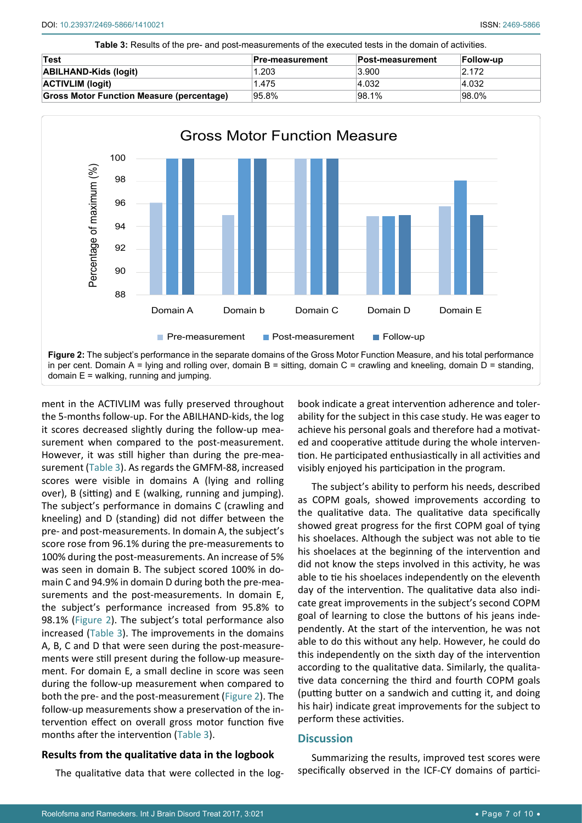<span id="page-6-0"></span>**Table 3:** Results of the pre- and post-measurements of the executed tests in the domain of activities.

| Test                                             | Pre-measurement | Post-measurement | Follow-up |
|--------------------------------------------------|-----------------|------------------|-----------|
| <b>ABILHAND-Kids (logit)</b>                     | 1.203           | 3.900            | 2.172     |
| <b>ACTIVLIM (logit)</b>                          | 1.475           | 4.032            | 4.032     |
| <b>Gross Motor Function Measure (percentage)</b> | 95.8%           | $98.1\%$         | 98.0%     |

<span id="page-6-1"></span>

ment in the ACTIVLIM was fully preserved throughout the 5-months follow-up. For the ABILHAND-kids, the log it scores decreased slightly during the follow-up measurement when compared to the post-measurement. However, it was still higher than during the pre-measurement [\(Table 3](#page-6-0)). As regards the GMFM-88, increased scores were visible in domains A (lying and rolling over), B (sitting) and E (walking, running and jumping). The subject's performance in domains C (crawling and kneeling) and D (standing) did not differ between the pre- and post-measurements. In domain A, the subject's score rose from 96.1% during the pre-measurements to 100% during the post-measurements. An increase of 5% was seen in domain B. The subject scored 100% in domain C and 94.9% in domain D during both the pre-measurements and the post-measurements. In domain E, the subject's performance increased from 95.8% to 98.1% ([Figure 2\)](#page-6-1). The subject's total performance also increased [\(Table 3](#page-6-0)). The improvements in the domains A, B, C and D that were seen during the post-measurements were still present during the follow-up measurement. For domain E, a small decline in score was seen during the follow-up measurement when compared to both the pre- and the post-measurement [\(Figure 2\)](#page-6-1). The follow-up measurements show a preservation of the intervention effect on overall gross motor function five months after the intervention [\(Table 3\)](#page-6-0).

# **Results from the qualitative data in the logbook**

The qualitative data that were collected in the log-

book indicate a great intervention adherence and tolerability for the subject in this case study. He was eager to achieve his personal goals and therefore had a motivated and cooperative attitude during the whole intervention. He participated enthusiastically in all activities and visibly enjoyed his participation in the program.

The subject's ability to perform his needs, described as COPM goals, showed improvements according to the qualitative data. The qualitative data specifically showed great progress for the first COPM goal of tying his shoelaces. Although the subject was not able to tie his shoelaces at the beginning of the intervention and did not know the steps involved in this activity, he was able to tie his shoelaces independently on the eleventh day of the intervention. The qualitative data also indicate great improvements in the subject's second COPM goal of learning to close the buttons of his jeans independently. At the start of the intervention, he was not able to do this without any help. However, he could do this independently on the sixth day of the intervention according to the qualitative data. Similarly, the qualitative data concerning the third and fourth COPM goals (putting butter on a sandwich and cutting it, and doing his hair) indicate great improvements for the subject to perform these activities.

## **Discussion**

Summarizing the results, improved test scores were specifically observed in the ICF-CY domains of partici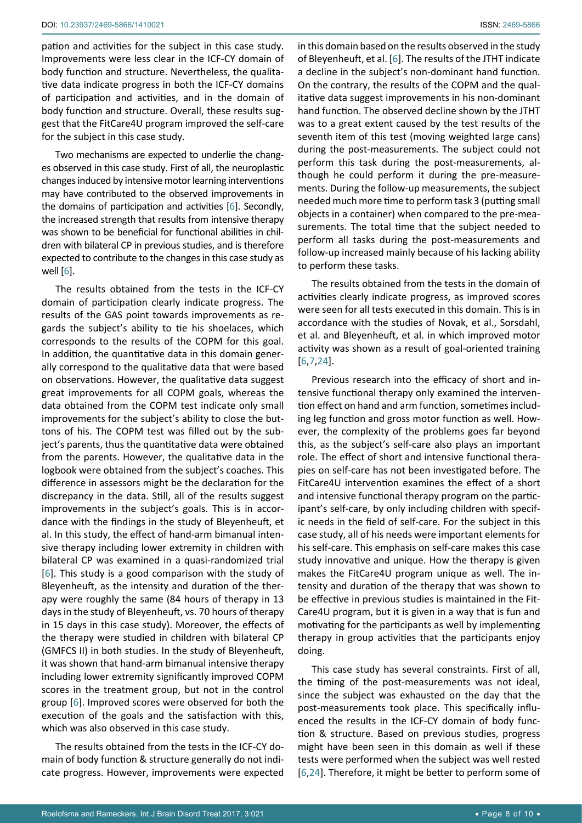pation and activities for the subject in this case study. Improvements were less clear in the ICF-CY domain of body function and structure. Nevertheless, the qualitative data indicate progress in both the ICF-CY domains of participation and activities, and in the domain of body function and structure. Overall, these results suggest that the FitCare4U program improved the self-care for the subject in this case study.

Two mechanisms are expected to underlie the changes observed in this case study. First of all, the neuroplastic changes induced by intensive motor learning interventions may have contributed to the observed improvements in the domains of participation and activities [\[6](#page-8-5)]. Secondly, the increased strength that results from intensive therapy was shown to be beneficial for functional abilities in children with bilateral CP in previous studies, and is therefore expected to contribute to the changes in this case study as well [\[6\]](#page-8-5).

The results obtained from the tests in the ICF-CY domain of participation clearly indicate progress. The results of the GAS point towards improvements as regards the subject's ability to tie his shoelaces, which corresponds to the results of the COPM for this goal. In addition, the quantitative data in this domain generally correspond to the qualitative data that were based on observations. However, the qualitative data suggest great improvements for all COPM goals, whereas the data obtained from the COPM test indicate only small improvements for the subject's ability to close the buttons of his. The COPM test was filled out by the subject's parents, thus the quantitative data were obtained from the parents. However, the qualitative data in the logbook were obtained from the subject's coaches. This difference in assessors might be the declaration for the discrepancy in the data. Still, all of the results suggest improvements in the subject's goals. This is in accordance with the findings in the study of Bleyenheuft, et al. In this study, the effect of hand-arm bimanual intensive therapy including lower extremity in children with bilateral CP was examined in a quasi-randomized trial [[6](#page-8-5)]. This study is a good comparison with the study of Bleyenheuft, as the intensity and duration of the therapy were roughly the same (84 hours of therapy in 13 days in the study of Bleyenheuft, vs. 70 hours of therapy in 15 days in this case study). Moreover, the effects of the therapy were studied in children with bilateral CP (GMFCS II) in both studies. In the study of Bleyenheuft, it was shown that hand-arm bimanual intensive therapy including lower extremity significantly improved COPM scores in the treatment group, but not in the control group [\[6\]](#page-8-5). Improved scores were observed for both the execution of the goals and the satisfaction with this, which was also observed in this case study.

The results obtained from the tests in the ICF-CY domain of body function & structure generally do not indicate progress. However, improvements were expected in this domain based on the results observed in the study of Bleyenheuft, et al. [[6](#page-8-5)]. The results of the JTHT indicate a decline in the subject's non-dominant hand function. On the contrary, the results of the COPM and the qualitative data suggest improvements in his non-dominant hand function. The observed decline shown by the JTHT was to a great extent caused by the test results of the seventh item of this test (moving weighted large cans) during the post-measurements. The subject could not perform this task during the post-measurements, although he could perform it during the pre-measurements. During the follow-up measurements, the subject needed much more time to perform task 3 (putting small objects in a container) when compared to the pre-measurements. The total time that the subject needed to perform all tasks during the post-measurements and follow-up increased mainly because of his lacking ability to perform these tasks.

The results obtained from the tests in the domain of activities clearly indicate progress, as improved scores were seen for all tests executed in this domain. This is in accordance with the studies of Novak, et al., Sorsdahl, et al. and Bleyenheuft, et al. in which improved motor activity was shown as a result of goal-oriented training [\[6](#page-8-5)[,7,](#page-8-6)[24\]](#page-8-23).

Previous research into the efficacy of short and intensive functional therapy only examined the intervention effect on hand and arm function, sometimes including leg function and gross motor function as well. However, the complexity of the problems goes far beyond this, as the subject's self-care also plays an important role. The effect of short and intensive functional therapies on self-care has not been investigated before. The FitCare4U intervention examines the effect of a short and intensive functional therapy program on the participant's self-care, by only including children with specific needs in the field of self-care. For the subject in this case study, all of his needs were important elements for his self-care. This emphasis on self-care makes this case study innovative and unique. How the therapy is given makes the FitCare4U program unique as well. The intensity and duration of the therapy that was shown to be effective in previous studies is maintained in the Fit-Care4U program, but it is given in a way that is fun and motivating for the participants as well by implementing therapy in group activities that the participants enjoy doing.

This case study has several constraints. First of all, the timing of the post-measurements was not ideal, since the subject was exhausted on the day that the post-measurements took place. This specifically influenced the results in the ICF-CY domain of body function & structure. Based on previous studies, progress might have been seen in this domain as well if these tests were performed when the subject was well rested [\[6](#page-8-5),[24\]](#page-8-23). Therefore, it might be better to perform some of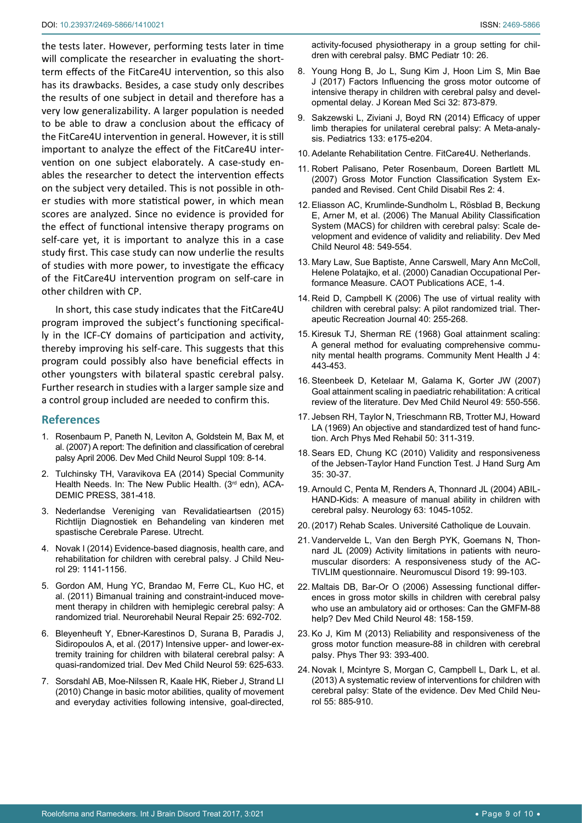the tests later. However, performing tests later in time will complicate the researcher in evaluating the shortterm effects of the FitCare4U intervention, so this also has its drawbacks. Besides, a case study only describes the results of one subject in detail and therefore has a very low generalizability. A larger population is needed to be able to draw a conclusion about the efficacy of the FitCare4U intervention in general. However, it is still important to analyze the effect of the FitCare4U intervention on one subject elaborately. A case-study enables the researcher to detect the intervention effects on the subject very detailed. This is not possible in other studies with more statistical power, in which mean scores are analyzed. Since no evidence is provided for the effect of functional intensive therapy programs on self-care yet, it is important to analyze this in a case study first. This case study can now underlie the results of studies with more power, to investigate the efficacy of the FitCare4U intervention program on self-care in other children with CP.

In short, this case study indicates that the FitCare4U program improved the subject's functioning specifically in the ICF-CY domains of participation and activity, thereby improving his self-care. This suggests that this program could possibly also have beneficial effects in other youngsters with bilateral spastic cerebral palsy. Further research in studies with a larger sample size and a control group included are needed to confirm this.

#### **References**

- <span id="page-8-0"></span>1. [Rosenbaum P, Paneth N, Leviton A, Goldstein M, Bax M, et](https://www.ncbi.nlm.nih.gov/pubmed/17370477)  [al. \(2007\) A report: The definition and classification of cerebral](https://www.ncbi.nlm.nih.gov/pubmed/17370477)  [palsy April 2006. Dev Med Child Neurol](https://www.ncbi.nlm.nih.gov/pubmed/17370477) Suppl 109: 8-14.
- <span id="page-8-1"></span>2. [Tulchinsky TH, Varavikova EA \(2014\) Special Community](http://www.sciencedirect.com/science/article/pii/B9780124157668000070)  [Health Needs. In: The New Public](http://www.sciencedirect.com/science/article/pii/B9780124157668000070) Health. (3rd edn), ACA-[DEMIC PRESS, 381-418.](http://www.sciencedirect.com/science/article/pii/B9780124157668000070)
- <span id="page-8-2"></span>3. Nederlandse Vereniging van Revalidatieartsen (2015) Richtlijn Diagnostiek en Behandeling van kinderen met spastische Cerebrale Parese. Utrecht.
- <span id="page-8-3"></span>4. [Novak I \(2014\) Evidence-based diagnosis, health care, and](https://www.ncbi.nlm.nih.gov/pubmed/24958005)  [rehabilitation for children with cerebral palsy.](https://www.ncbi.nlm.nih.gov/pubmed/24958005) J Child Neu[rol 29: 1141-1156.](https://www.ncbi.nlm.nih.gov/pubmed/24958005)
- <span id="page-8-4"></span>5. [Gordon AM, Hung YC, Brandao M, Ferre CL, Kuo HC, et](https://www.ncbi.nlm.nih.gov/pubmed/21700924)  [al. \(2011\) Bimanual training and constraint-induced move](https://www.ncbi.nlm.nih.gov/pubmed/21700924)[ment therapy in children with hemiplegic cerebral palsy: A](https://www.ncbi.nlm.nih.gov/pubmed/21700924)  [randomized trial. Neurorehabil Neural Repair 25: 692-702.](https://www.ncbi.nlm.nih.gov/pubmed/21700924)
- <span id="page-8-5"></span>6. [Bleyenheuft Y, Ebner-Karestinos D, Surana B, Paradis J,](https://www.ncbi.nlm.nih.gov/pubmed/28133725)  [Sidiropoulos A, et al. \(2017\) Intensive upper- and lower-ex](https://www.ncbi.nlm.nih.gov/pubmed/28133725)[tremity training for children with bilateral cerebral palsy: A](https://www.ncbi.nlm.nih.gov/pubmed/28133725)  [quasi-randomized trial. Dev Med Child Neurol 59: 625-633.](https://www.ncbi.nlm.nih.gov/pubmed/28133725)
- <span id="page-8-6"></span>7. [Sorsdahl AB, Moe-Nilssen R, Kaale HK, Rieber J, Strand LI](https://www.ncbi.nlm.nih.gov/pubmed/20423507)  [\(2010\) Change in basic motor abilities, quality of movement](https://www.ncbi.nlm.nih.gov/pubmed/20423507)  [and everyday activities following intensive, goal-directed,](https://www.ncbi.nlm.nih.gov/pubmed/20423507)

<span id="page-8-7"></span>[activity-focused physiotherapy in a group setting for chil](https://www.ncbi.nlm.nih.gov/pubmed/20423507)[dren with cerebral palsy. BMC Pediatr 10: 26.](https://www.ncbi.nlm.nih.gov/pubmed/20423507)

- 8. [Young Hong B, Jo L, Sung Kim J, Hoon Lim S, Min Bae](https://www.ncbi.nlm.nih.gov/pubmed/28378564)  [J \(2017\) Factors Influencing the gross motor outcome of](https://www.ncbi.nlm.nih.gov/pubmed/28378564)  [intensive therapy in children with cerebral palsy and devel](https://www.ncbi.nlm.nih.gov/pubmed/28378564)[opmental delay. J Korean Med Sci 32: 873-879.](https://www.ncbi.nlm.nih.gov/pubmed/28378564)
- <span id="page-8-8"></span>9. [Sakzewski L, Ziviani J, Boyd RN \(2014\) Efficacy of upper](https://www.ncbi.nlm.nih.gov/pubmed/24366991)  [limb therapies for unilateral cerebral palsy: A Meta-analy](https://www.ncbi.nlm.nih.gov/pubmed/24366991)[sis. Pediatrics 133: e175-e204.](https://www.ncbi.nlm.nih.gov/pubmed/24366991)
- <span id="page-8-9"></span>10. [Adelante Rehabilitation Centre. FitCare4U. Netherlands.](https://www.adelante-zorggroep.nl/nl/revalidatie/fitcare4u/)
- <span id="page-8-10"></span>11. Robert Palisano, Peter Rosenbaum, Doreen Bartlett ML (2007) Gross Motor Function Classification System Expanded and Revised. Cent Child Disabil Res 2: 4.
- <span id="page-8-11"></span>12. [Eliasson AC, Krumlinde-Sundholm L, Rösblad B, Beckung](https://www.ncbi.nlm.nih.gov/pubmed/16780622)  [E, Arner M, et al. \(2006\) The Manual Ability Classification](https://www.ncbi.nlm.nih.gov/pubmed/16780622)  [System \(MACS\) for children with cerebral palsy: Scale de](https://www.ncbi.nlm.nih.gov/pubmed/16780622)[velopment and evidence of validity and reliability. Dev Med](https://www.ncbi.nlm.nih.gov/pubmed/16780622)  [Child Neurol 48: 549-554.](https://www.ncbi.nlm.nih.gov/pubmed/16780622)
- <span id="page-8-12"></span>13. [Mary Law, Sue Baptiste, Anne Carswell, Mary Ann McColl,](http://www.neuroreha.cz/sites/default/files/materialy/COPM.pdf)  [Helene Polatajko, et al. \(2000\) Canadian Occupational Per](http://www.neuroreha.cz/sites/default/files/materialy/COPM.pdf)formance Measure. [CAOT Publications ACE, 1-4.](http://www.neuroreha.cz/sites/default/files/materialy/COPM.pdf)
- <span id="page-8-13"></span>14. [Reid D, Campbell K \(2006\) The use of virtual reality with](http://individual.utoronto.ca/DTReid/paper/(8) Reid_Campbell The use of virtual reality with children with cerebral palsy.pdf)  [children with cerebral palsy: A pilot randomized trial. Ther](http://individual.utoronto.ca/DTReid/paper/(8) Reid_Campbell The use of virtual reality with children with cerebral palsy.pdf)[apeutic Recreation Journal 40: 255-268.](http://individual.utoronto.ca/DTReid/paper/(8) Reid_Campbell The use of virtual reality with children with cerebral palsy.pdf)
- <span id="page-8-19"></span>15. [Kiresuk TJ, Sherman RE \(1968\) Goal attainment scaling:](https://www.ncbi.nlm.nih.gov/pubmed/24185570)  [A general method for evaluating comprehensive commu](https://www.ncbi.nlm.nih.gov/pubmed/24185570)[nity mental health programs. Community Ment Health J 4:](https://www.ncbi.nlm.nih.gov/pubmed/24185570)  [443-453.](https://www.ncbi.nlm.nih.gov/pubmed/24185570)
- <span id="page-8-20"></span>16. [Steenbeek D, Ketelaar M, Galama K, Gorter JW \(2007\)](https://www.ncbi.nlm.nih.gov/pubmed/17593130)  [Goal attainment scaling in paediatric rehabilitation: A critical](https://www.ncbi.nlm.nih.gov/pubmed/17593130)  [review of the literature. Dev Med Child Neurol 49: 550-556.](https://www.ncbi.nlm.nih.gov/pubmed/17593130)
- <span id="page-8-21"></span>17. [Jebsen RH, Taylor N, Trieschmann RB, Trotter MJ, Howard](https://www.ncbi.nlm.nih.gov/pubmed/5788487)  [LA \(1969\) An objective and standardized test of hand func](https://www.ncbi.nlm.nih.gov/pubmed/5788487)[tion. Arch Phys Med Rehabil 50: 311-319.](https://www.ncbi.nlm.nih.gov/pubmed/5788487)
- <span id="page-8-22"></span>18. [Sears ED, Chung KC \(2010\) Validity and responsiveness](https://www.ncbi.nlm.nih.gov/pubmed/19954898)  [of the Jebsen-Taylor Hand Function Test. J Hand](https://www.ncbi.nlm.nih.gov/pubmed/19954898) Surg Am [35: 30-37.](https://www.ncbi.nlm.nih.gov/pubmed/19954898)
- <span id="page-8-14"></span>19. [Arnould C, Penta M, Renders A, Thonnard JL \(2004\) ABIL-](https://www.ncbi.nlm.nih.gov/pubmed/15452296)[HAND-Kids: A measure of manual ability in children with](https://www.ncbi.nlm.nih.gov/pubmed/15452296)  [cerebral palsy. Neurology 63: 1045-1052.](https://www.ncbi.nlm.nih.gov/pubmed/15452296)
- <span id="page-8-15"></span>20. [\(2017\) Rehab Scales. Université Catholique de Louvain.](http://www.rehab-scales.org/)
- <span id="page-8-16"></span>21. [Vandervelde L, Van den Bergh PYK, Goemans N, Thon](https://www.ncbi.nlm.nih.gov/pubmed/19167889)[nard JL \(2009\) Activity limitations in patients with neuro](https://www.ncbi.nlm.nih.gov/pubmed/19167889)[muscular disorders: A responsiveness study of the AC-](https://www.ncbi.nlm.nih.gov/pubmed/19167889)[TIVLIM questionnaire. Neuromuscul Disord 19: 99-103.](https://www.ncbi.nlm.nih.gov/pubmed/19167889)
- <span id="page-8-17"></span>22. [Maltais DB, Bar-Or O \(2006\) Assessing functional differ](http://onlinelibrary.wiley.com/doi/10.1017/S0012162206210338/pdf)[ences in gross motor skills in children with cerebral palsy](http://onlinelibrary.wiley.com/doi/10.1017/S0012162206210338/pdf)  [who use an ambulatory aid or orthoses: Can the GMFM-88](http://onlinelibrary.wiley.com/doi/10.1017/S0012162206210338/pdf)  [help? Dev Med Child Neurol 48: 158-159.](http://onlinelibrary.wiley.com/doi/10.1017/S0012162206210338/pdf)
- <span id="page-8-18"></span>23. [Ko J, Kim M \(2013\) Reliability and responsiveness of the](https://www.ncbi.nlm.nih.gov/pubmed/23139425)  [gross motor function measure-88 in children with cerebral](https://www.ncbi.nlm.nih.gov/pubmed/23139425)  [palsy. Phys Ther 93: 393-400.](https://www.ncbi.nlm.nih.gov/pubmed/23139425)
- <span id="page-8-23"></span>24. [Novak I, Mcintyre S, Morgan C, Campbell L, Dark L, et al.](https://www.ncbi.nlm.nih.gov/pubmed/23962350)  [\(2013\) A systematic review of interventions for children with](https://www.ncbi.nlm.nih.gov/pubmed/23962350)  [cerebral palsy: State of the evidence. Dev Med Child Neu](https://www.ncbi.nlm.nih.gov/pubmed/23962350)[rol 55: 885-910.](https://www.ncbi.nlm.nih.gov/pubmed/23962350)